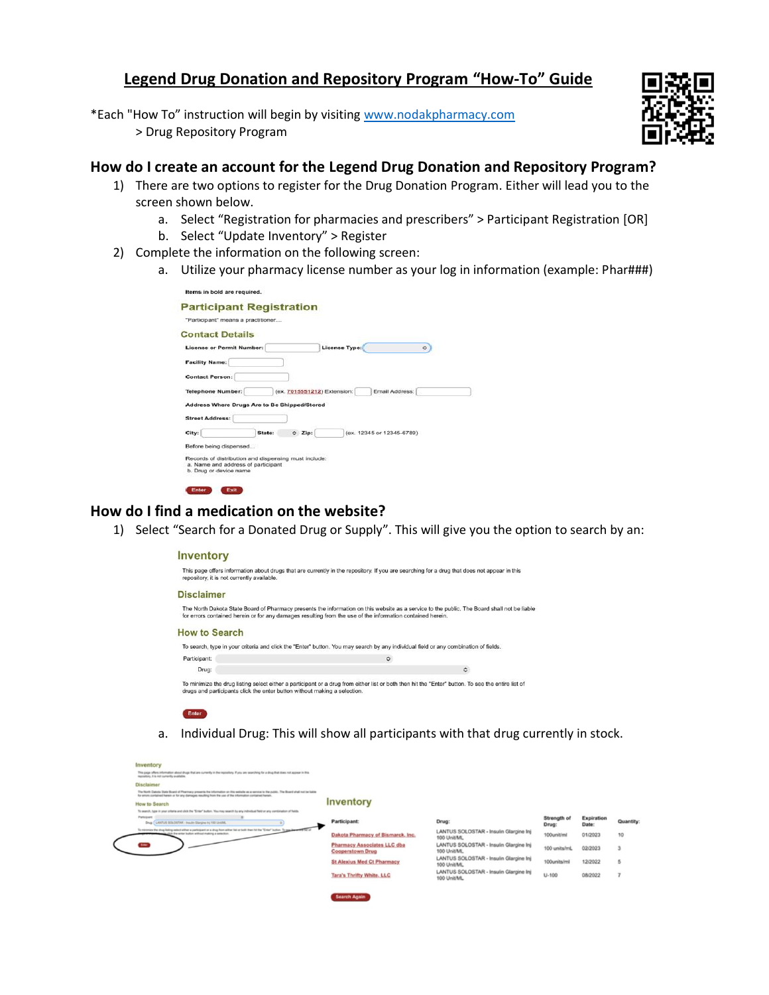# **Legend Drug Donation and Repository Program "How-To" Guide**

\*Each "How To" instruction will begin by visiting [www.nodakpharmacy.com](http://www.nodakpharmacy.com/) > Drug Repository Program



### **How do I create an account for the Legend Drug Donation and Repository Program?**

- 1) There are two options to register for the Drug Donation Program. Either will lead you to the screen shown below.
	- a. Select "Registration for pharmacies and prescribers" > Participant Registration [OR]
	- b. Select "Update Inventory" > Register
- 2) Complete the information on the following screen:
	- a. Utilize your pharmacy license number as your log in information (example: Phar###)

| <b>Participant Registration</b>                      |                                               |    |
|------------------------------------------------------|-----------------------------------------------|----|
| "Participant" means a practitioner                   |                                               |    |
| <b>Contact Details</b>                               |                                               |    |
| <b>License or Permit Number:</b>                     | License Type:                                 | Ö. |
| <b>Facility Name:</b>                                |                                               |    |
| <b>Contact Person:</b>                               |                                               |    |
| <b>Telephone Number:</b>                             | (ex. 7015551212) Extension:<br>Email Address: |    |
| Address Where Drugs Are to Be Shipped/Stored         |                                               |    |
| <b>Street Address:</b>                               |                                               |    |
| State:<br>City:                                      | $C$ Zip:<br>(ex. 12345 or 12345-6789)         |    |
| Before being dispensed                               |                                               |    |
|                                                      |                                               |    |
| Records of distribution and dispensing must include: |                                               |    |

## **How do I find a medication on the website?**

1) Select "Search for a Donated Drug or Supply". This will give you the option to search by an:

#### Inventory

Enter

| repository, it is not currently available.                                | This page offers information about drugs that are currently in the repository. If you are searching for a drug that does not appear in this                                                                                                               |
|---------------------------------------------------------------------------|-----------------------------------------------------------------------------------------------------------------------------------------------------------------------------------------------------------------------------------------------------------|
| <b>Disclaimer</b>                                                         |                                                                                                                                                                                                                                                           |
|                                                                           | The North Dakota State Board of Pharmacy presents the information on this website as a service to the public. The Board shall not be liable<br>for errors contained herein or for any damages resulting from the use of the information contained herein. |
| <b>How to Search</b>                                                      |                                                                                                                                                                                                                                                           |
|                                                                           | To search, type in your criteria and click the "Enter" button. You may search by any individual field or any combination of fields.                                                                                                                       |
| Participant:                                                              | $\ddot{\circ}$                                                                                                                                                                                                                                            |
| Drug:                                                                     | $\ddot{\circ}$                                                                                                                                                                                                                                            |
| drugs and participants click the enter button without making a selection. | To minimize the drug listing select either a participant or a drug from either list or both then hit the "Enter" button. To see the entire list of                                                                                                        |

a. Individual Drug: This will show all participants with that drug currently in stock.

| Inventory                                                                                                                                                                                                                                                  |                                                               |                                                       |                             |                            |               |
|------------------------------------------------------------------------------------------------------------------------------------------------------------------------------------------------------------------------------------------------------------|---------------------------------------------------------------|-------------------------------------------------------|-----------------------------|----------------------------|---------------|
| This page offers information about drugs that are currently in the repository. If you are searching for a drug that does not appear in this<br>repository. It is not currently available.                                                                  |                                                               |                                                       |                             |                            |               |
| Disclaimer                                                                                                                                                                                                                                                 |                                                               |                                                       |                             |                            |               |
| The North Datista State Board of Pharmacy presents the information on this website as a service to the public. The Board shall not be liable<br>for enters contained herein or for any damages resulting from the use of the information contained herein. |                                                               |                                                       |                             |                            |               |
| <b>How to Search</b>                                                                                                                                                                                                                                       | <b>Inventory</b>                                              |                                                       |                             |                            |               |
| To search, type in your criteria and club the "Enter" button, You may search by any individual field or any continuation of fields.                                                                                                                        |                                                               |                                                       |                             |                            |               |
| Participant<br>Drug LAWTUS SOLOSTAN - Insulin Glargine Inc 100 Linistick,                                                                                                                                                                                  | Participant:                                                  | Drug:                                                 | <b>Strength of</b><br>Drug: | <b>Expiration</b><br>Date: | Quantity:     |
| To minimize the drug foling select either a participant or a drug from either lat or both than Nit the "Enter" butter.<br>as click the enter bullot without making a selection.                                                                            | Dakota Pharmacy of Bismarck, Inc.                             | LANTUS SOLOSTAR - Insulin Glargine Inj<br>100 Unit/ML | 100unit/ml                  | 01/2023                    | 10            |
| $\overline{a}$                                                                                                                                                                                                                                             | <b>Pharmacy Associates LLC dba</b><br><b>Cooperstown Drug</b> | LANTUS SOLOSTAR - Insulin Glargine Inj<br>100 Unit/ML | 100 units/mL                | 02/2023                    |               |
|                                                                                                                                                                                                                                                            | <b>St Alexius Med Ct Pharmacy</b>                             | LANTUS SOLOSTAR - Insulin Glargine Inj<br>100 Unit/ML | 100units/ml                 | 12/2022                    | 5             |
|                                                                                                                                                                                                                                                            | Tara's Thrifty White, LLC                                     | LANTUS SOLOSTAR - Insulin Glargine Inj<br>100 Unit/ML | $U - 100$                   | 08/2022                    | $\rightarrow$ |
|                                                                                                                                                                                                                                                            | <b>COMMUNICATION</b>                                          |                                                       |                             |                            |               |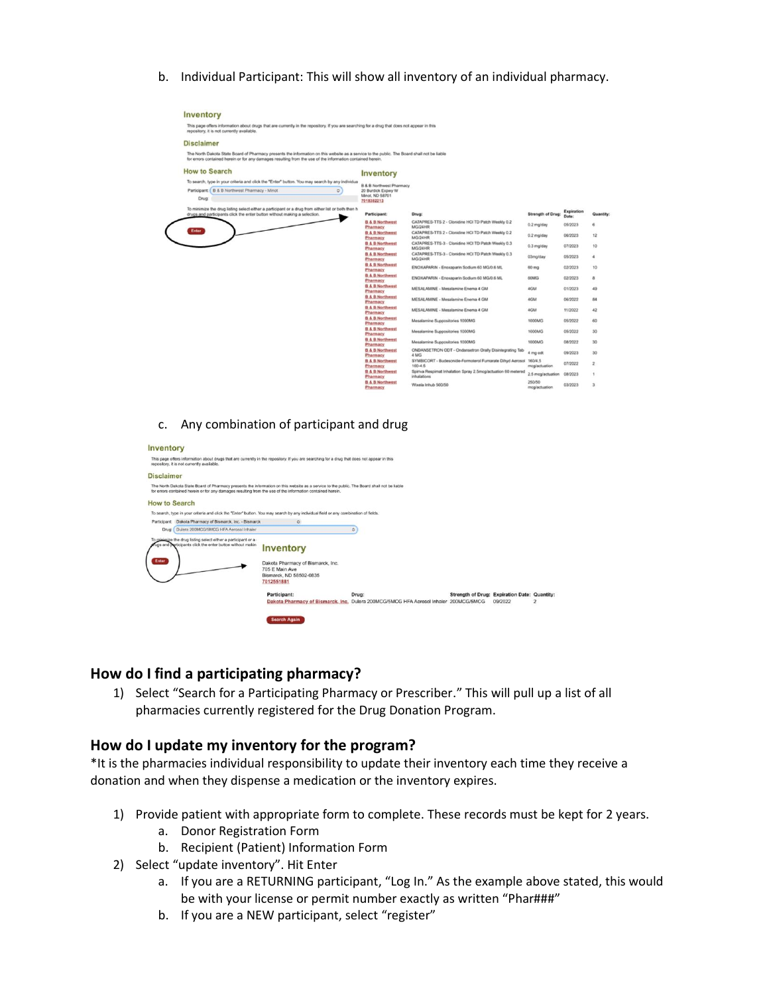b. Individual Participant: This will show all inventory of an individual pharmacy.

| This page offers information about drugs that are currently in the repository. If you are searching for a drug that does not appear in this<br>repository, it is not currently available.                                                                 |          |                                                    |                                                                                     |                          |                     |                      |
|-----------------------------------------------------------------------------------------------------------------------------------------------------------------------------------------------------------------------------------------------------------|----------|----------------------------------------------------|-------------------------------------------------------------------------------------|--------------------------|---------------------|----------------------|
| <b>Disclaimer</b>                                                                                                                                                                                                                                         |          |                                                    |                                                                                     |                          |                     |                      |
| The North Dakota State Board of Pharmacy presents the information on this website as a service to the public. The Board shall not be liable<br>for errors contained herein or for any damages resulting from the use of the information contained herein. |          |                                                    |                                                                                     |                          |                     |                      |
| <b>How to Search</b>                                                                                                                                                                                                                                      |          | <b>Inventory</b>                                   |                                                                                     |                          |                     |                      |
| To search, type in your criteria and click the "Enter" button. You may search by any individual                                                                                                                                                           |          | <b>B &amp; B Northwest Pharmacy</b>                |                                                                                     |                          |                     |                      |
| Participant: B & B Northwest Pharmacy - Minot                                                                                                                                                                                                             | $\alpha$ | 20 Burdick Expwy W                                 |                                                                                     |                          |                     |                      |
| Drug:                                                                                                                                                                                                                                                     |          | Minot, ND 58701<br>7018382213                      |                                                                                     |                          |                     |                      |
| To minimize the drug listing select either a participant or a drug from either list or both then h<br>drugs and participants click the enter button without making a selection.                                                                           |          | Participant:                                       | Drug:                                                                               | <b>Strength of Drug:</b> | Expiration<br>Date: | Quantity:            |
|                                                                                                                                                                                                                                                           |          | <b>B &amp; B Northwest</b>                         | CATAPRES-TTS 2 - Clonidine HCI TD Patch Weekly 0.2                                  | 0.2 mg/day               | 05/2023             | 6                    |
| Enter                                                                                                                                                                                                                                                     |          | Pharmacy<br><b>B &amp; B Northwest</b><br>Pharmacy | <b>MG/24HR</b><br>CATAPRES-TTS 2 - Clonidine HCI TD Patch Weekly 0.2<br>MG/24HR     | 0.2 mg/day               | 06/2023             | 12                   |
|                                                                                                                                                                                                                                                           |          | <b>B &amp; B Northwest</b><br>Pharmacy             | CATAPRES-TTS-3 - Clonidine HCI TD Patch Weekly 0.3<br>MG/24HR                       | 0.3 mg/day               | 07/2023             | 10                   |
|                                                                                                                                                                                                                                                           |          | <b>B.&amp; B.Northwest</b><br>Pharmacy             | CATAPRES-TTS-3 - Clonidine HCI TD Patch Weekly 0.3<br>MG/24HR                       | 03mg/day                 | 05/2023             | $\ddot{\phantom{a}}$ |
|                                                                                                                                                                                                                                                           |          | <b>B &amp; B Northwest</b><br>Pharmacy             | ENOXAPARIN - Enoxaparin Sodium 60 MG/0.6 ML                                         | 60 mg                    | 02/2023             | 10                   |
|                                                                                                                                                                                                                                                           |          | <b>B &amp; B Northwest</b><br>Pharmacy             | ENOXAPARIN - Enoxaparin Sodium 60 MG/0.6 ML                                         | 60MG                     | 02/2023             | a                    |
|                                                                                                                                                                                                                                                           |          | <b>B &amp; B Northwest</b><br>Pharmacy             | MESALAMINE - Mesalamine Enema 4 GM                                                  | 4GM                      | 01/2023             | 49                   |
|                                                                                                                                                                                                                                                           |          | <b>B &amp; B Northwest</b><br>Pharmacy             | MESALAMINE - Mesalamine Enema 4 GM                                                  | 4GM                      | 06/2022             | 84                   |
|                                                                                                                                                                                                                                                           |          | <b>B &amp; B Northwest</b><br>Pharmacy             | MESALAMINE - Mesalamine Enema 4 GM                                                  | 4GM                      | 11/2022             | 42                   |
|                                                                                                                                                                                                                                                           |          | <b>B &amp; B Northwest</b><br>Pharmacy             | Mesalamine Suppositories 1000MG                                                     | 1000MG                   | 05/2022             | 60                   |
|                                                                                                                                                                                                                                                           |          | <b>B &amp; B Northwest</b><br>Pharmacy             | Mesalamine Suppositories 1000MG                                                     | 1000MG                   | 05/2022             | 30                   |
|                                                                                                                                                                                                                                                           |          | <b>B &amp; B Northwest</b><br><b>Pharmacy</b>      | Mesalamine Suppositories 1000MG                                                     | 1000MG                   | 08/2022             | 30                   |
|                                                                                                                                                                                                                                                           |          | <b>B &amp; B Northwest</b><br>Pharmacy             | ONDANSETRON ODT - Ondansetron Orally Disintegrating Tab<br>4 MG                     | 4 mg odt                 | 09/2023             | 30                   |
|                                                                                                                                                                                                                                                           |          | <b>B &amp; B Northwest</b><br>Pharmacy             | SYMBICORT - Budesonide-Formoterol Furnarate Dihyd Aerosol 160/4.5<br>$160 - 4.5$    | moglactuation            | 07/2022             | $\bar{z}$            |
|                                                                                                                                                                                                                                                           |          | <b>B &amp; B Northwest</b><br>Pharmacy             | Spiriva Respimat Inhalation Spray 2.5mcg/actuation 60 metered<br><i>inhalations</i> | 2.5 mcg/actuation        | 08/2023             | 1                    |
|                                                                                                                                                                                                                                                           |          | <b>B &amp; B Northwest</b><br>Pharmacy             | Wixela Inhub 500/50                                                                 | 250/50<br>moglactuation. | 03/2023             | з                    |
|                                                                                                                                                                                                                                                           |          |                                                    |                                                                                     |                          |                     |                      |

#### c. Any combination of participant and drug



## **How do I find a participating pharmacy?**

1) Select "Search for a Participating Pharmacy or Prescriber." This will pull up a list of all pharmacies currently registered for the Drug Donation Program.

### **How do I update my inventory for the program?**

\*It is the pharmacies individual responsibility to update their inventory each time they receive a donation and when they dispense a medication or the inventory expires.

- 1) Provide patient with appropriate form to complete. These records must be kept for 2 years.
	- a. Donor Registration Form
	- b. Recipient (Patient) Information Form
- 2) Select "update inventory". Hit Enter
	- a. If you are a RETURNING participant, "Log In." As the example above stated, this would be with your license or permit number exactly as written "Phar###"
	- b. If you are a NEW participant, select "register"